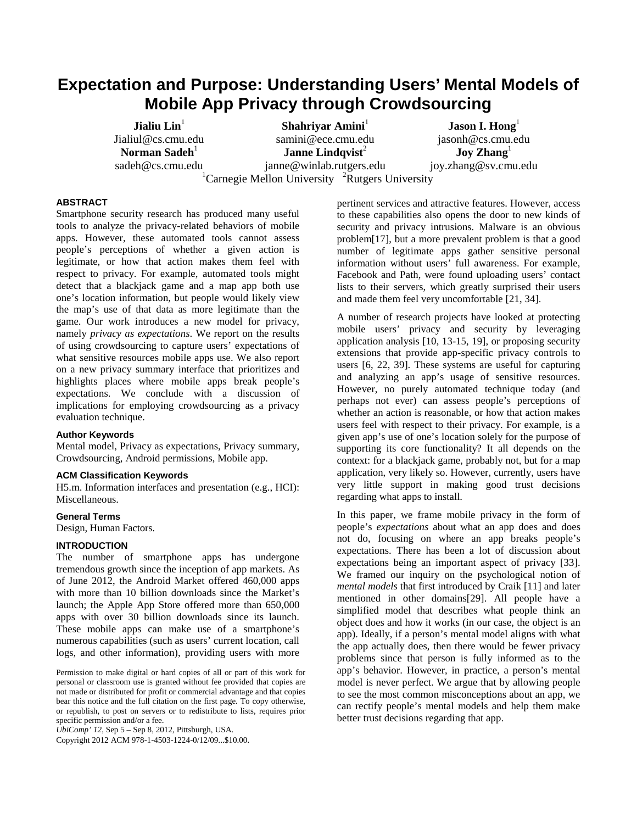# **Expectation and Purpose: Understanding Users' Mental Models of Mobile App Privacy through Crowdsourcing**

**Jialiu Lin**<sup>1</sup> Jialiul@cs.cmu.edu **Shahrivar Amini**<sup>1</sup> samini@ece.cmu.edu **Jason I. Hong**<sup>1</sup> jasonh@cs.cmu.edu **Norman Sadeh**<sup>1</sup> sadeh@cs.cmu.edu **Janne Lindqvist**<sup>2</sup> janne@winlab.rutgers.edu **Joy Zhang**<sup>1</sup> joy.zhang@sv.cmu.edu <sup>1</sup>Carnegie Mellon University <sup>2</sup>Rutgers University

#### **ABSTRACT**

Smartphone security research has produced many useful tools to analyze the privacy-related behaviors of mobile apps. However, these automated tools cannot assess people's perceptions of whether a given action is legitimate, or how that action makes them feel with respect to privacy. For example, automated tools might detect that a blackjack game and a map app both use one's location information, but people would likely view the map's use of that data as more legitimate than the game. Our work introduces a new model for privacy, namely *privacy as expectations*. We report on the results of using crowdsourcing to capture users' expectations of what sensitive resources mobile apps use. We also report on a new privacy summary interface that prioritizes and highlights places where mobile apps break people's expectations. We conclude with a discussion of implications for employing crowdsourcing as a privacy evaluation technique.

#### **Author Keywords**

Mental model, Privacy as expectations, Privacy summary, Crowdsourcing, Android permissions, Mobile app.

## **ACM Classification Keywords**

H5.m. Information interfaces and presentation (e.g., HCI): Miscellaneous.

#### **General Terms**

Design, Human Factors.

## **INTRODUCTION**

The number of smartphone apps has undergone tremendous growth since the inception of app markets. As of June 2012, the Android Market offered 460,000 apps with more than 10 billion downloads since the Market's launch; the Apple App Store offered more than 650,000 apps with over 30 billion downloads since its launch. These mobile apps can make use of a smartphone's numerous capabilities (such as users' current location, call logs, and other information), providing users with more

*UbiComp' 12*, Sep 5 – Sep 8, 2012, Pittsburgh, USA.

Copyright 2012 ACM 978-1-4503-1224-0/12/09...\$10.00.

pertinent services and attractive features. However, access to these capabilities also opens the door to new kinds of security and privacy intrusions. Malware is an obvious problem[17], but a more prevalent problem is that a good number of legitimate apps gather sensitive personal information without users' full awareness. For example, Facebook and Path, were found uploading users' contact lists to their servers, which greatly surprised their users and made them feel very uncomfortable [21, 34].

A number of research projects have looked at protecting mobile users' privacy and security by leveraging application analysis [10, 13-15, 19], or proposing security extensions that provide app-specific privacy controls to users [6, 22, 39]. These systems are useful for capturing and analyzing an app's usage of sensitive resources. However, no purely automated technique today (and perhaps not ever) can assess people's perceptions of whether an action is reasonable, or how that action makes users feel with respect to their privacy. For example, is a given app's use of one's location solely for the purpose of supporting its core functionality? It all depends on the context: for a blackjack game, probably not, but for a map application, very likely so. However, currently, users have very little support in making good trust decisions regarding what apps to install.

In this paper, we frame mobile privacy in the form of people's *expectations* about what an app does and does not do, focusing on where an app breaks people's expectations. There has been a lot of discussion about expectations being an important aspect of privacy [33]. We framed our inquiry on the psychological notion of *mental models* that first introduced by Craik [11] and later mentioned in other domains[29]. All people have a simplified model that describes what people think an object does and how it works (in our case, the object is an app). Ideally, if a person's mental model aligns with what the app actually does, then there would be fewer privacy problems since that person is fully informed as to the app's behavior. However, in practice, a person's mental model is never perfect. We argue that by allowing people to see the most common misconceptions about an app, we can rectify people's mental models and help them make better trust decisions regarding that app.

Permission to make digital or hard copies of all or part of this work for personal or classroom use is granted without fee provided that copies are not made or distributed for profit or commercial advantage and that copies bear this notice and the full citation on the first page. To copy otherwise, or republish, to post on servers or to redistribute to lists, requires prior specific permission and/or a fee.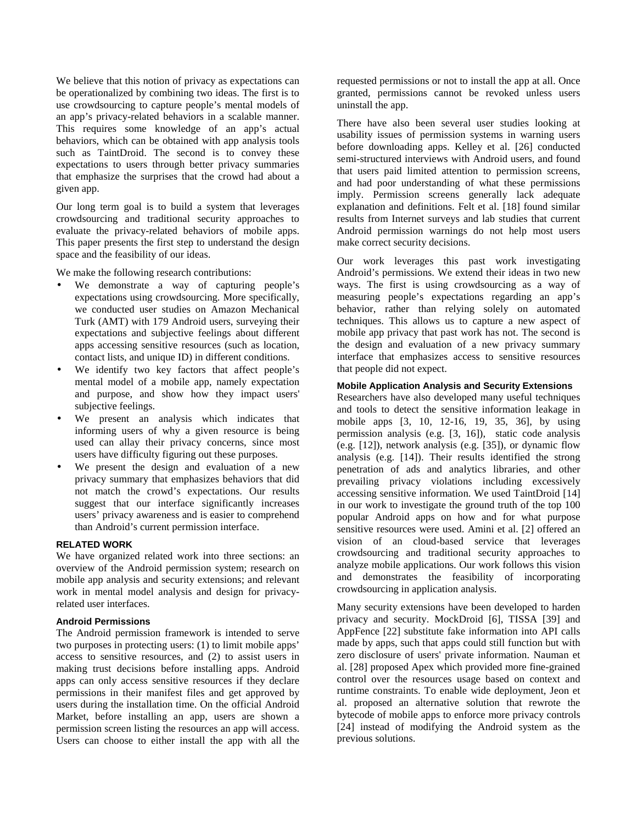We believe that this notion of privacy as expectations can be operationalized by combining two ideas. The first is to use crowdsourcing to capture people's mental models of an app's privacy-related behaviors in a scalable manner. This requires some knowledge of an app's actual behaviors, which can be obtained with app analysis tools such as TaintDroid. The second is to convey these expectations to users through better privacy summaries that emphasize the surprises that the crowd had about a given app.

Our long term goal is to build a system that leverages crowdsourcing and traditional security approaches to evaluate the privacy-related behaviors of mobile apps. This paper presents the first step to understand the design space and the feasibility of our ideas.

We make the following research contributions:

- We demonstrate a way of capturing people's expectations using crowdsourcing. More specifically, we conducted user studies on Amazon Mechanical Turk (AMT) with 179 Android users, surveying their expectations and subjective feelings about different apps accessing sensitive resources (such as location, contact lists, and unique ID) in different conditions.
- We identify two key factors that affect people's mental model of a mobile app, namely expectation and purpose, and show how they impact users' subjective feelings.
- We present an analysis which indicates that informing users of why a given resource is being used can allay their privacy concerns, since most users have difficulty figuring out these purposes.
- We present the design and evaluation of a new privacy summary that emphasizes behaviors that did not match the crowd's expectations. Our results suggest that our interface significantly increases users' privacy awareness and is easier to comprehend than Android's current permission interface.

## **RELATED WORK**

We have organized related work into three sections: an overview of the Android permission system; research on mobile app analysis and security extensions; and relevant work in mental model analysis and design for privacyrelated user interfaces.

#### **Android Permissions**

The Android permission framework is intended to serve two purposes in protecting users: (1) to limit mobile apps' access to sensitive resources, and (2) to assist users in making trust decisions before installing apps. Android apps can only access sensitive resources if they declare permissions in their manifest files and get approved by users during the installation time. On the official Android Market, before installing an app, users are shown a permission screen listing the resources an app will access. Users can choose to either install the app with all the requested permissions or not to install the app at all. Once granted, permissions cannot be revoked unless users uninstall the app.

There have also been several user studies looking at usability issues of permission systems in warning users before downloading apps. Kelley et al. [26] conducted semi-structured interviews with Android users, and found that users paid limited attention to permission screens, and had poor understanding of what these permissions imply. Permission screens generally lack adequate explanation and definitions. Felt et al. [18] found similar results from Internet surveys and lab studies that current Android permission warnings do not help most users make correct security decisions.

Our work leverages this past work investigating Android's permissions. We extend their ideas in two new ways. The first is using crowdsourcing as a way of measuring people's expectations regarding an app's behavior, rather than relying solely on automated techniques. This allows us to capture a new aspect of mobile app privacy that past work has not. The second is the design and evaluation of a new privacy summary interface that emphasizes access to sensitive resources that people did not expect.

## **Mobile Application Analysis and Security Extensions**

Researchers have also developed many useful techniques and tools to detect the sensitive information leakage in mobile apps [3, 10, 12-16, 19, 35, 36], by using permission analysis (e.g. [3, 16]), static code analysis (e.g. [12]), network analysis (e.g. [35]), or dynamic flow analysis (e.g. [14]). Their results identified the strong penetration of ads and analytics libraries, and other prevailing privacy violations including excessively accessing sensitive information. We used TaintDroid [14] in our work to investigate the ground truth of the top 100 popular Android apps on how and for what purpose sensitive resources were used. Amini et al. [2] offered an vision of an cloud-based service that leverages crowdsourcing and traditional security approaches to analyze mobile applications. Our work follows this vision and demonstrates the feasibility of incorporating crowdsourcing in application analysis.

Many security extensions have been developed to harden privacy and security. MockDroid [6], TISSA [39] and AppFence [22] substitute fake information into API calls made by apps, such that apps could still function but with zero disclosure of users' private information. Nauman et al. [28] proposed Apex which provided more fine-grained control over the resources usage based on context and runtime constraints. To enable wide deployment, Jeon et al. proposed an alternative solution that rewrote the bytecode of mobile apps to enforce more privacy controls [24] instead of modifying the Android system as the previous solutions.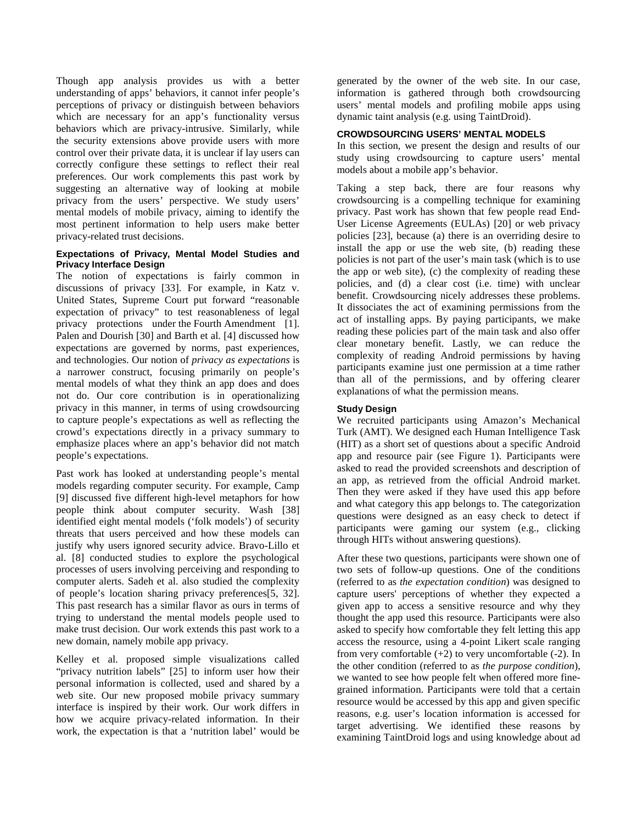Though app analysis provides us with a better understanding of apps' behaviors, it cannot infer people's perceptions of privacy or distinguish between behaviors which are necessary for an app's functionality versus behaviors which are privacy-intrusive. Similarly, while the security extensions above provide users with more control over their private data, it is unclear if lay users can correctly configure these settings to reflect their real preferences. Our work complements this past work by suggesting an alternative way of looking at mobile privacy from the users' perspective. We study users' mental models of mobile privacy, aiming to identify the most pertinent information to help users make better privacy-related trust decisions.

#### **Expectations of Privacy, Mental Model Studies and Privacy Interface Design**

The notion of expectations is fairly common in discussions of privacy [33]. For example, in Katz v. United States, Supreme Court put forward "reasonable expectation of privacy" to test reasonableness of legal privacy protections under the Fourth Amendment [1]. Palen and Dourish [30] and Barth et al. [4] discussed how expectations are governed by norms, past experiences, and technologies. Our notion of *privacy as expectations* is a narrower construct, focusing primarily on people's mental models of what they think an app does and does not do. Our core contribution is in operationalizing privacy in this manner, in terms of using crowdsourcing to capture people's expectations as well as reflecting the crowd's expectations directly in a privacy summary to emphasize places where an app's behavior did not match people's expectations.

Past work has looked at understanding people's mental models regarding computer security. For example, Camp [9] discussed five different high-level metaphors for how people think about computer security. Wash [38] identified eight mental models ('folk models') of security threats that users perceived and how these models can justify why users ignored security advice. Bravo-Lillo et al. [8] conducted studies to explore the psychological processes of users involving perceiving and responding to computer alerts. Sadeh et al. also studied the complexity of people's location sharing privacy preferences[5, 32]. This past research has a similar flavor as ours in terms of trying to understand the mental models people used to make trust decision. Our work extends this past work to a new domain, namely mobile app privacy.

Kelley et al. proposed simple visualizations called "privacy nutrition labels" [25] to inform user how their personal information is collected, used and shared by a web site. Our new proposed mobile privacy summary interface is inspired by their work. Our work differs in how we acquire privacy-related information. In their work, the expectation is that a 'nutrition label' would be

generated by the owner of the web site. In our case, information is gathered through both crowdsourcing users' mental models and profiling mobile apps using dynamic taint analysis (e.g. using TaintDroid).

## **CROWDSOURCING USERS' MENTAL MODELS**

In this section, we present the design and results of our study using crowdsourcing to capture users' mental models about a mobile app's behavior.

Taking a step back, there are four reasons why crowdsourcing is a compelling technique for examining privacy. Past work has shown that few people read End-User License Agreements (EULAs) [20] or web privacy policies [23], because (a) there is an overriding desire to install the app or use the web site, (b) reading these policies is not part of the user's main task (which is to use the app or web site), (c) the complexity of reading these policies, and (d) a clear cost (i.e. time) with unclear benefit. Crowdsourcing nicely addresses these problems. It dissociates the act of examining permissions from the act of installing apps. By paying participants, we make reading these policies part of the main task and also offer clear monetary benefit. Lastly, we can reduce the complexity of reading Android permissions by having participants examine just one permission at a time rather than all of the permissions, and by offering clearer explanations of what the permission means.

## **Study Design**

We recruited participants using Amazon's Mechanical Turk (AMT). We designed each Human Intelligence Task (HIT) as a short set of questions about a specific Android app and resource pair (see Figure 1). Participants were asked to read the provided screenshots and description of an app, as retrieved from the official Android market. Then they were asked if they have used this app before and what category this app belongs to. The categorization questions were designed as an easy check to detect if participants were gaming our system (e.g., clicking through HITs without answering questions).

After these two questions, participants were shown one of two sets of follow-up questions. One of the conditions (referred to as *the expectation condition*) was designed to capture users' perceptions of whether they expected a given app to access a sensitive resource and why they thought the app used this resource. Participants were also asked to specify how comfortable they felt letting this app access the resource, using a 4-point Likert scale ranging from very comfortable (+2) to very uncomfortable (-2). In the other condition (referred to as *the purpose condition*), we wanted to see how people felt when offered more finegrained information. Participants were told that a certain resource would be accessed by this app and given specific reasons, e.g. user's location information is accessed for target advertising. We identified these reasons by examining TaintDroid logs and using knowledge about ad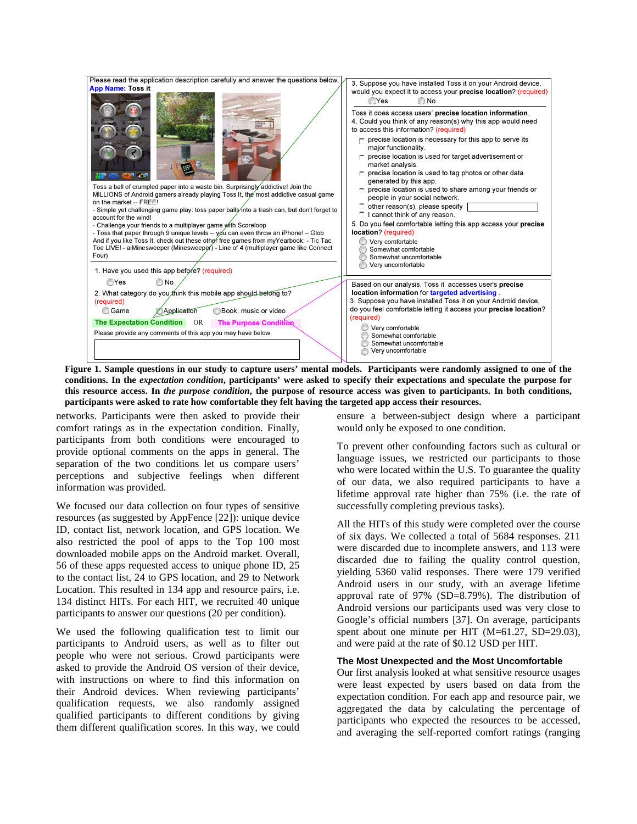

**Figure 1. Sample questions in our study to capture users' mental models. Participants were randomly assigned to one of the conditions. In the** *expectation condition***, participants' were asked to specify their expectations and speculate the purpose for this resource access. In** *the purpose condition***, the purpose of resource access was given to participants. In both conditions, participants were asked to rate how comfortable they felt having the targeted app access their resources.** 

networks. Participants were then asked to provide their comfort ratings as in the expectation condition. Finally, participants from both conditions were encouraged to provide optional comments on the apps in general. The separation of the two conditions let us compare users' perceptions and subjective feelings when different information was provided.

We focused our data collection on four types of sensitive resources (as suggested by AppFence [22]): unique device ID, contact list, network location, and GPS location. We also restricted the pool of apps to the Top 100 most downloaded mobile apps on the Android market. Overall, 56 of these apps requested access to unique phone ID, 25 to the contact list, 24 to GPS location, and 29 to Network Location. This resulted in 134 app and resource pairs, i.e. 134 distinct HITs. For each HIT, we recruited 40 unique participants to answer our questions (20 per condition).

We used the following qualification test to limit our participants to Android users, as well as to filter out people who were not serious. Crowd participants were asked to provide the Android OS version of their device, with instructions on where to find this information on their Android devices. When reviewing participants' qualification requests, we also randomly assigned qualified participants to different conditions by giving them different qualification scores. In this way, we could ensure a between-subject design where a participant would only be exposed to one condition.

To prevent other confounding factors such as cultural or language issues, we restricted our participants to those who were located within the U.S. To guarantee the quality of our data, we also required participants to have a lifetime approval rate higher than 75% (i.e. the rate of successfully completing previous tasks).

All the HITs of this study were completed over the course of six days. We collected a total of 5684 responses. 211 were discarded due to incomplete answers, and 113 were discarded due to failing the quality control question, yielding 5360 valid responses. There were 179 verified Android users in our study, with an average lifetime approval rate of 97% (SD=8.79%). The distribution of Android versions our participants used was very close to Google's official numbers [37]. On average, participants spent about one minute per HIT (M=61.27, SD=29.03), and were paid at the rate of \$0.12 USD per HIT.

#### **The Most Unexpected and the Most Uncomfortable**

Our first analysis looked at what sensitive resource usages were least expected by users based on data from the expectation condition. For each app and resource pair, we aggregated the data by calculating the percentage of participants who expected the resources to be accessed, and averaging the self-reported comfort ratings (ranging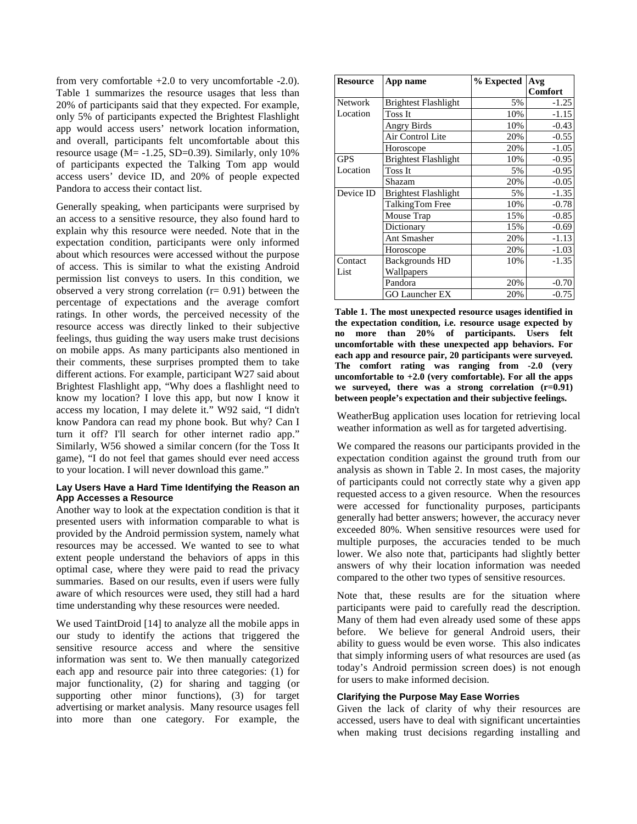from very comfortable +2.0 to very uncomfortable -2.0). Table 1 summarizes the resource usages that less than 20% of participants said that they expected. For example, only 5% of participants expected the Brightest Flashlight app would access users' network location information, and overall, participants felt uncomfortable about this resource usage  $(M= -1.25, SD=0.39)$ . Similarly, only 10% of participants expected the Talking Tom app would access users' device ID, and 20% of people expected Pandora to access their contact list.

Generally speaking, when participants were surprised by an access to a sensitive resource, they also found hard to explain why this resource were needed. Note that in the expectation condition, participants were only informed about which resources were accessed without the purpose of access. This is similar to what the existing Android permission list conveys to users. In this condition, we observed a very strong correlation  $(r= 0.91)$  between the percentage of expectations and the average comfort ratings. In other words, the perceived necessity of the resource access was directly linked to their subjective feelings, thus guiding the way users make trust decisions on mobile apps. As many participants also mentioned in their comments, these surprises prompted them to take different actions. For example, participant W27 said about Brightest Flashlight app, "Why does a flashlight need to know my location? I love this app, but now I know it access my location, I may delete it." W92 said, "I didn't know Pandora can read my phone book. But why? Can I turn it off? I'll search for other internet radio app." Similarly, W56 showed a similar concern (for the Toss It game), "I do not feel that games should ever need access to your location. I will never download this game."

## **Lay Users Have a Hard Time Identifying the Reason an App Accesses a Resource**

Another way to look at the expectation condition is that it presented users with information comparable to what is provided by the Android permission system, namely what resources may be accessed. We wanted to see to what extent people understand the behaviors of apps in this optimal case, where they were paid to read the privacy summaries. Based on our results, even if users were fully aware of which resources were used, they still had a hard time understanding why these resources were needed.

We used TaintDroid [14] to analyze all the mobile apps in our study to identify the actions that triggered the sensitive resource access and where the sensitive information was sent to. We then manually categorized each app and resource pair into three categories: (1) for major functionality, (2) for sharing and tagging (or supporting other minor functions), (3) for target advertising or market analysis. Many resource usages fell into more than one category. For example, the

| <b>Resource</b> | App name                    | % Expected | Avg            |
|-----------------|-----------------------------|------------|----------------|
|                 |                             |            | <b>Comfort</b> |
| <b>Network</b>  | Brightest Flashlight        | 5%         | $-1.25$        |
| Location        | <b>Toss It</b>              | 10%        | $-1.15$        |
|                 | <b>Angry Birds</b>          | 10%        | $-0.43$        |
|                 | Air Control Lite            | 20%        | $-0.55$        |
|                 | Horoscope                   | 20%        | $-1.05$        |
| <b>GPS</b>      | <b>Brightest Flashlight</b> | 10%        | $-0.95$        |
| Location        | <b>Toss It</b>              | 5%         | $-0.95$        |
|                 | Shazam                      | 20%        | $-0.05$        |
| Device ID       | <b>Brightest Flashlight</b> | 5%         | $-1.35$        |
|                 | TalkingTom Free             | 10%        | $-0.78$        |
|                 | Mouse Trap                  | 15%        | $-0.85$        |
|                 | Dictionary                  | 15%        | $-0.69$        |
|                 | <b>Ant Smasher</b>          | 20%        | $-1.13$        |
|                 | Horoscope                   | 20%        | $-1.03$        |
| Contact         | <b>Backgrounds HD</b>       | 10%        | $-1.35$        |
| List            | Wallpapers                  |            |                |
|                 | Pandora                     | 20%        | $-0.70$        |
|                 | <b>GO Launcher EX</b>       | 20%        | $-0.75$        |

**Table 1. The most unexpected resource usages identified in the expectation condition, i.e. resource usage expected by no more than 20% of participants. Users felt uncomfortable with these unexpected app behaviors. For each app and resource pair, 20 participants were surveyed. The comfort rating was ranging from -2.0 (very uncomfortable to +2.0 (very comfortable). For all the apps we surveyed, there was a strong correlation (r=0.91) between people's expectation and their subjective feelings.** 

WeatherBug application uses location for retrieving local weather information as well as for targeted advertising.

We compared the reasons our participants provided in the expectation condition against the ground truth from our analysis as shown in Table 2. In most cases, the majority of participants could not correctly state why a given app requested access to a given resource. When the resources were accessed for functionality purposes, participants generally had better answers; however, the accuracy never exceeded 80%. When sensitive resources were used for multiple purposes, the accuracies tended to be much lower. We also note that, participants had slightly better answers of why their location information was needed compared to the other two types of sensitive resources.

Note that, these results are for the situation where participants were paid to carefully read the description. Many of them had even already used some of these apps before. We believe for general Android users, their ability to guess would be even worse. This also indicates that simply informing users of what resources are used (as today's Android permission screen does) is not enough for users to make informed decision.

#### **Clarifying the Purpose May Ease Worries**

Given the lack of clarity of why their resources are accessed, users have to deal with significant uncertainties when making trust decisions regarding installing and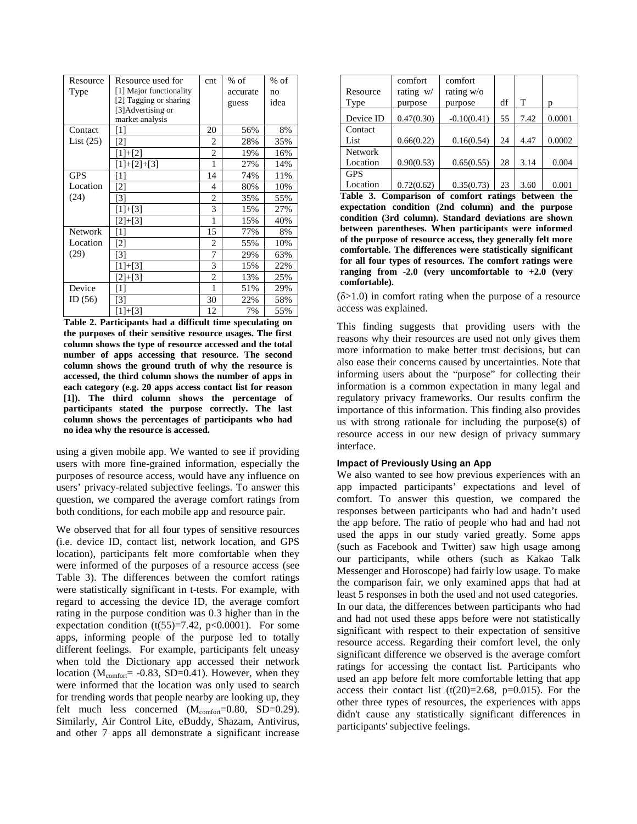| Resource       | Resource used for       | cnt            | $%$ of   | $%$ of |
|----------------|-------------------------|----------------|----------|--------|
| Type           | [1] Major functionality |                | accurate | no     |
|                | [2] Tagging or sharing  |                | guess    | idea   |
|                | [3] Advertising or      |                |          |        |
|                | market analysis         |                |          |        |
| Contact        | [1]                     | 20             | 56%      | 8%     |
| List $(25)$    | $\lceil 2 \rceil$       | 2              | 28%      | 35%    |
|                | $[1]+[2]$               | 2              | 19%      | 16%    |
|                | $[1]+[2]+[3]$           | 1              | 27%      | 14%    |
| <b>GPS</b>     | [1]                     | 14             | 74%      | 11%    |
| Location       | [2]                     | 4              | 80%      | 10%    |
| (24)           | [3]                     | 2              | 35%      | 55%    |
|                | $[1]+[3]$               | 3              | 15%      | 27%    |
|                | $[2]+[3]$               | 1              | 15%      | 40%    |
| <b>Network</b> | [1]                     | 15             | 77%      | 8%     |
| Location       | $[2]$                   | $\overline{2}$ | 55%      | 10%    |
| (29)           | [3]                     | 7              | 29%      | 63%    |
|                | $[1]+[3]$               | 3              | 15%      | 22%    |
|                | $[2]+[3]$               | $\overline{c}$ | 13%      | 25%    |
| Device         | [1]                     | 1              | 51%      | 29%    |
| ID $(56)$      | [3]                     | 30             | 22%      | 58%    |
|                | $[1] + [3]$             | 12             | 7%       | 55%    |

**Table 2. Participants had a difficult time speculating on the purposes of their sensitive resource usages. The first column shows the type of resource accessed and the total number of apps accessing that resource. The second column shows the ground truth of why the resource is accessed, the third column shows the number of apps in each category (e.g. 20 apps access contact list for reason [1]). The third column shows the percentage of participants stated the purpose correctly. The last column shows the percentages of participants who had no idea why the resource is accessed.** 

using a given mobile app. We wanted to see if providing users with more fine-grained information, especially the purposes of resource access, would have any influence on users' privacy-related subjective feelings. To answer this question, we compared the average comfort ratings from both conditions, for each mobile app and resource pair.

We observed that for all four types of sensitive resources (i.e. device ID, contact list, network location, and GPS location), participants felt more comfortable when they were informed of the purposes of a resource access (see Table 3). The differences between the comfort ratings were statistically significant in t-tests. For example, with regard to accessing the device ID, the average comfort rating in the purpose condition was 0.3 higher than in the expectation condition  $(t(55)=7.42, p<0.0001)$ . For some apps, informing people of the purpose led to totally different feelings. For example, participants felt uneasy when told the Dictionary app accessed their network location ( $M_{\text{confort}}$ = -0.83, SD=0.41). However, when they were informed that the location was only used to search for trending words that people nearby are looking up, they felt much less concerned  $(M_{\text{confort}}=0.80, SD=0.29)$ . Similarly, Air Control Lite, eBuddy, Shazam, Antivirus, and other 7 apps all demonstrate a significant increase

|                | comfort    | comfort       |    |      |        |
|----------------|------------|---------------|----|------|--------|
| Resource       | rating w/  | rating $w/o$  |    |      |        |
| Type           | purpose    | purpose       | df | т    | p      |
| Device ID      | 0.47(0.30) | $-0.10(0.41)$ | 55 | 7.42 | 0.0001 |
| Contact        |            |               |    |      |        |
| List           | 0.66(0.22) | 0.16(0.54)    | 24 | 4.47 | 0.0002 |
| <b>Network</b> |            |               |    |      |        |
| Location       | 0.90(0.53) | 0.65(0.55)    | 28 | 3.14 | 0.004  |
| <b>GPS</b>     |            |               |    |      |        |
| Location       | 0.72(0.62) | 0.35(0.73)    | 23 | 3.60 | 0.001  |

**Table 3. Comparison of comfort ratings between the expectation condition (2nd column) and the purpose condition (3rd column). Standard deviations are shown between parentheses. When participants were informed of the purpose of resource access, they generally felt more comfortable. The differences were statistically significant for all four types of resources. The comfort ratings were ranging from -2.0 (very uncomfortable to +2.0 (very comfortable).** 

 $(\delta > 1.0)$  in comfort rating when the purpose of a resource access was explained.

This finding suggests that providing users with the reasons why their resources are used not only gives them more information to make better trust decisions, but can also ease their concerns caused by uncertainties. Note that informing users about the "purpose" for collecting their information is a common expectation in many legal and regulatory privacy frameworks. Our results confirm the importance of this information. This finding also provides us with strong rationale for including the purpose(s) of resource access in our new design of privacy summary interface.

#### **Impact of Previously Using an App**

We also wanted to see how previous experiences with an app impacted participants' expectations and level of comfort. To answer this question, we compared the responses between participants who had and hadn't used the app before. The ratio of people who had and had not used the apps in our study varied greatly. Some apps (such as Facebook and Twitter) saw high usage among our participants, while others (such as Kakao Talk Messenger and Horoscope) had fairly low usage. To make the comparison fair, we only examined apps that had at least 5 responses in both the used and not used categories. In our data, the differences between participants who had and had not used these apps before were not statistically significant with respect to their expectation of sensitive resource access. Regarding their comfort level, the only significant difference we observed is the average comfort ratings for accessing the contact list. Participants who used an app before felt more comfortable letting that app access their contact list  $(t(20)=2.68, p=0.015)$ . For the other three types of resources, the experiences with apps didn't cause any statistically significant differences in participants' subjective feelings.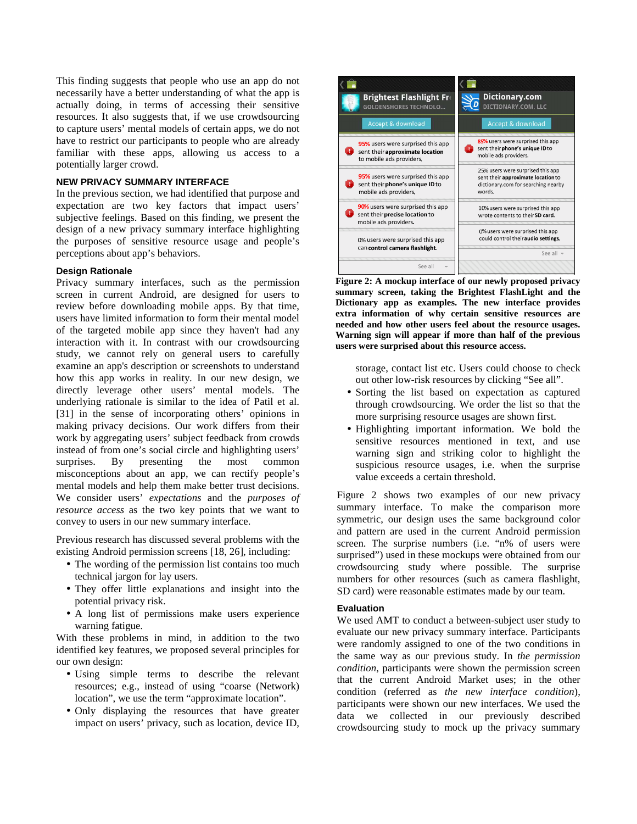This finding suggests that people who use an app do not necessarily have a better understanding of what the app is actually doing, in terms of accessing their sensitive resources. It also suggests that, if we use crowdsourcing to capture users' mental models of certain apps, we do not have to restrict our participants to people who are already familiar with these apps, allowing us access to a potentially larger crowd.

## **NEW PRIVACY SUMMARY INTERFACE**

In the previous section, we had identified that purpose and expectation are two key factors that impact users' subjective feelings. Based on this finding, we present the design of a new privacy summary interface highlighting the purposes of sensitive resource usage and people's perceptions about app's behaviors.

#### **Design Rationale**

Privacy summary interfaces, such as the permission screen in current Android, are designed for users to review before downloading mobile apps. By that time, users have limited information to form their mental model of the targeted mobile app since they haven't had any interaction with it. In contrast with our crowdsourcing study, we cannot rely on general users to carefully examine an app's description or screenshots to understand how this app works in reality. In our new design, we directly leverage other users' mental models. The underlying rationale is similar to the idea of Patil et al. [31] in the sense of incorporating others' opinions in making privacy decisions. Our work differs from their work by aggregating users' subject feedback from crowds instead of from one's social circle and highlighting users' surprises. By presenting the most common misconceptions about an app, we can rectify people's mental models and help them make better trust decisions. We consider users' *expectations* and the *purposes of resource access* as the two key points that we want to convey to users in our new summary interface.

Previous research has discussed several problems with the existing Android permission screens [18, 26], including:

- The wording of the permission list contains too much technical jargon for lay users.
- They offer little explanations and insight into the potential privacy risk.
- A long list of permissions make users experience warning fatigue.

With these problems in mind, in addition to the two identified key features, we proposed several principles for our own design:

- Using simple terms to describe the relevant resources; e.g., instead of using "coarse (Network) location", we use the term "approximate location".
- Only displaying the resources that have greater impact on users' privacy, such as location, device ID,



**Figure 2: A mockup interface of our newly proposed privacy summary screen, taking the Brightest FlashLight and the Dictionary app as examples. The new interface provides extra information of why certain sensitive resources are needed and how other users feel about the resource usages. Warning sign will appear if more than half of the previous users were surprised about this resource access.** 

storage, contact list etc. Users could choose to check out other low-risk resources by clicking "See all".

- Sorting the list based on expectation as captured through crowdsourcing. We order the list so that the more surprising resource usages are shown first.
- Highlighting important information. We bold the sensitive resources mentioned in text, and use warning sign and striking color to highlight the suspicious resource usages, i.e. when the surprise value exceeds a certain threshold.

Figure 2 shows two examples of our new privacy summary interface. To make the comparison more symmetric, our design uses the same background color and pattern are used in the current Android permission screen. The surprise numbers (i.e. "n% of users were surprised") used in these mockups were obtained from our crowdsourcing study where possible. The surprise numbers for other resources (such as camera flashlight, SD card) were reasonable estimates made by our team.

#### **Evaluation**

We used AMT to conduct a between-subject user study to evaluate our new privacy summary interface. Participants were randomly assigned to one of the two conditions in the same way as our previous study. In *the permission condition*, participants were shown the permission screen that the current Android Market uses; in the other condition (referred as *the new interface condition*), participants were shown our new interfaces. We used the data we collected in our previously described crowdsourcing study to mock up the privacy summary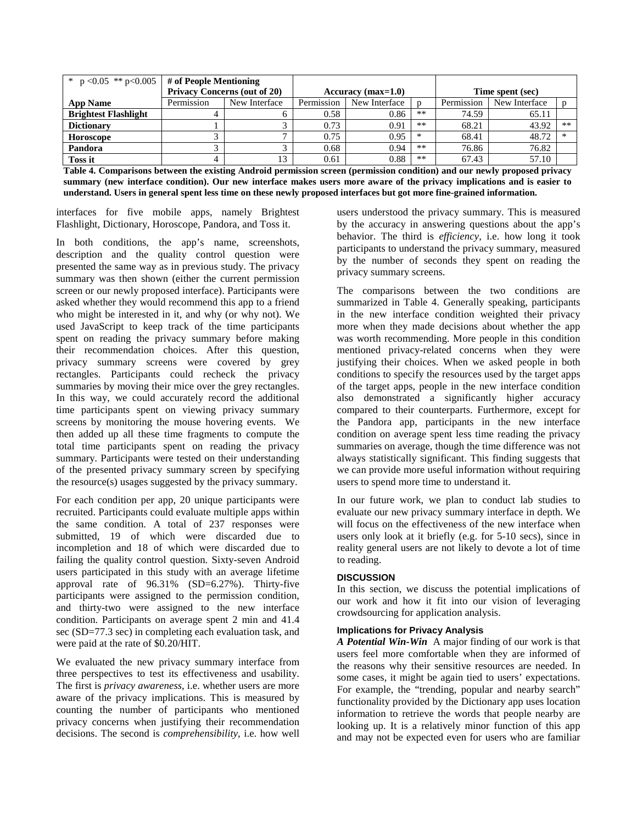| * $p < 0.05$ ** $p < 0.005$ | # of People Mentioning<br><b>Privacy Concerns (out of 20)</b> |                | $Accuracy (max=1.0)$ |               | Time spent (sec) |            |               |        |
|-----------------------------|---------------------------------------------------------------|----------------|----------------------|---------------|------------------|------------|---------------|--------|
| <b>App Name</b>             | Permission                                                    | New Interface  | Permission           | New Interface |                  | Permission | New Interface |        |
| <b>Brightest Flashlight</b> |                                                               |                | 0.58                 | 0.86          | $**$             | 74.59      | 65.11         |        |
| <b>Dictionary</b>           |                                                               |                | 0.73                 | 0.91          | $***$            | 68.21      | 43.92         | **     |
| Horoscope                   |                                                               | $\overline{ }$ | 0.75                 | 0.95          | *                | 68.41      | 48.72         | $\ast$ |
| Pandora                     |                                                               |                | 0.68                 | 0.94          | $**$             | 76.86      | 76.82         |        |
| <b>Toss it</b>              |                                                               | 13             | 0.61                 | 0.88          | **               | 67.43      | 57.10         |        |

**Table 4. Comparisons between the existing Android permission screen (permission condition) and our newly proposed privacy summary (new interface condition). Our new interface makes users more aware of the privacy implications and is easier to understand. Users in general spent less time on these newly proposed interfaces but got more fine-grained information.** 

interfaces for five mobile apps, namely Brightest Flashlight, Dictionary, Horoscope, Pandora, and Toss it.

In both conditions, the app's name, screenshots, description and the quality control question were presented the same way as in previous study. The privacy summary was then shown (either the current permission screen or our newly proposed interface). Participants were asked whether they would recommend this app to a friend who might be interested in it, and why (or why not). We used JavaScript to keep track of the time participants spent on reading the privacy summary before making their recommendation choices. After this question, privacy summary screens were covered by grey rectangles. Participants could recheck the privacy summaries by moving their mice over the grey rectangles. In this way, we could accurately record the additional time participants spent on viewing privacy summary screens by monitoring the mouse hovering events. We then added up all these time fragments to compute the total time participants spent on reading the privacy summary. Participants were tested on their understanding of the presented privacy summary screen by specifying the resource(s) usages suggested by the privacy summary.

For each condition per app, 20 unique participants were recruited. Participants could evaluate multiple apps within the same condition. A total of 237 responses were submitted, 19 of which were discarded due to incompletion and 18 of which were discarded due to failing the quality control question. Sixty-seven Android users participated in this study with an average lifetime approval rate of 96.31% (SD=6.27%). Thirty-five participants were assigned to the permission condition, and thirty-two were assigned to the new interface condition. Participants on average spent 2 min and 41.4 sec (SD=77.3 sec) in completing each evaluation task, and were paid at the rate of \$0.20/HIT.

We evaluated the new privacy summary interface from three perspectives to test its effectiveness and usability. The first is *privacy awareness*, i.e. whether users are more aware of the privacy implications. This is measured by counting the number of participants who mentioned privacy concerns when justifying their recommendation decisions. The second is *comprehensibility*, i.e. how well users understood the privacy summary. This is measured by the accuracy in answering questions about the app's behavior. The third is *efficiency*, i.e. how long it took participants to understand the privacy summary, measured by the number of seconds they spent on reading the privacy summary screens.

The comparisons between the two conditions are summarized in Table 4. Generally speaking, participants in the new interface condition weighted their privacy more when they made decisions about whether the app was worth recommending. More people in this condition mentioned privacy-related concerns when they were justifying their choices. When we asked people in both conditions to specify the resources used by the target apps of the target apps, people in the new interface condition also demonstrated a significantly higher accuracy compared to their counterparts. Furthermore, except for the Pandora app, participants in the new interface condition on average spent less time reading the privacy summaries on average, though the time difference was not always statistically significant. This finding suggests that we can provide more useful information without requiring users to spend more time to understand it.

In our future work, we plan to conduct lab studies to evaluate our new privacy summary interface in depth. We will focus on the effectiveness of the new interface when users only look at it briefly (e.g. for 5-10 secs), since in reality general users are not likely to devote a lot of time to reading.

#### **DISCUSSION**

In this section, we discuss the potential implications of our work and how it fit into our vision of leveraging crowdsourcing for application analysis.

## **Implications for Privacy Analysis**

*A Potential Win-Win* A major finding of our work is that users feel more comfortable when they are informed of the reasons why their sensitive resources are needed. In some cases, it might be again tied to users' expectations. For example, the "trending, popular and nearby search" functionality provided by the Dictionary app uses location information to retrieve the words that people nearby are looking up. It is a relatively minor function of this app and may not be expected even for users who are familiar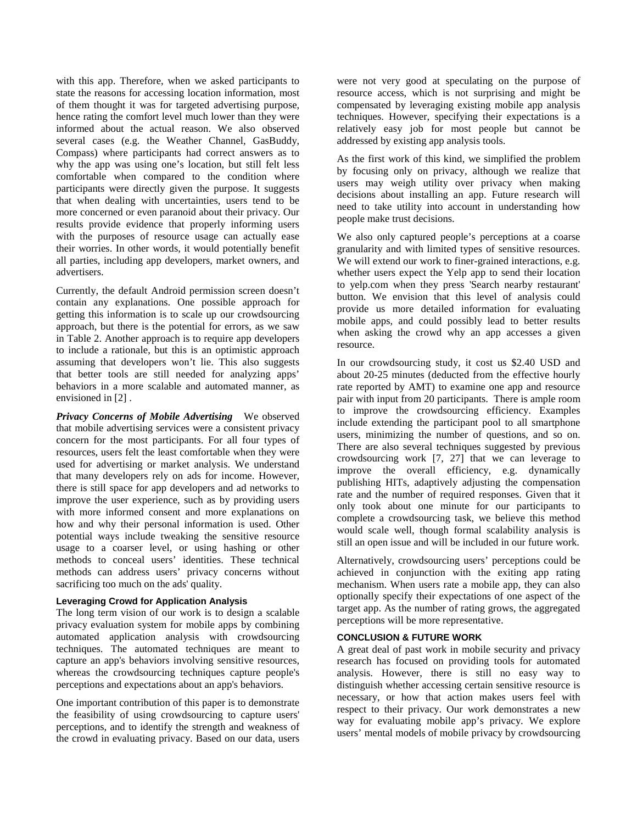with this app. Therefore, when we asked participants to state the reasons for accessing location information, most of them thought it was for targeted advertising purpose, hence rating the comfort level much lower than they were informed about the actual reason. We also observed several cases (e.g. the Weather Channel, GasBuddy, Compass) where participants had correct answers as to why the app was using one's location, but still felt less comfortable when compared to the condition where participants were directly given the purpose. It suggests that when dealing with uncertainties, users tend to be more concerned or even paranoid about their privacy. Our results provide evidence that properly informing users with the purposes of resource usage can actually ease their worries. In other words, it would potentially benefit all parties, including app developers, market owners, and advertisers.

Currently, the default Android permission screen doesn't contain any explanations. One possible approach for getting this information is to scale up our crowdsourcing approach, but there is the potential for errors, as we saw in Table 2. Another approach is to require app developers to include a rationale, but this is an optimistic approach assuming that developers won't lie. This also suggests that better tools are still needed for analyzing apps' behaviors in a more scalable and automated manner, as envisioned in [2] .

*Privacy Concerns of Mobile Advertising* We observed that mobile advertising services were a consistent privacy concern for the most participants. For all four types of resources, users felt the least comfortable when they were used for advertising or market analysis. We understand that many developers rely on ads for income. However, there is still space for app developers and ad networks to improve the user experience, such as by providing users with more informed consent and more explanations on how and why their personal information is used. Other potential ways include tweaking the sensitive resource usage to a coarser level, or using hashing or other methods to conceal users' identities. These technical methods can address users' privacy concerns without sacrificing too much on the ads' quality.

#### **Leveraging Crowd for Application Analysis**

The long term vision of our work is to design a scalable privacy evaluation system for mobile apps by combining automated application analysis with crowdsourcing techniques. The automated techniques are meant to capture an app's behaviors involving sensitive resources, whereas the crowdsourcing techniques capture people's perceptions and expectations about an app's behaviors.

One important contribution of this paper is to demonstrate the feasibility of using crowdsourcing to capture users' perceptions, and to identify the strength and weakness of the crowd in evaluating privacy. Based on our data, users were not very good at speculating on the purpose of resource access, which is not surprising and might be compensated by leveraging existing mobile app analysis techniques. However, specifying their expectations is a relatively easy job for most people but cannot be addressed by existing app analysis tools.

As the first work of this kind, we simplified the problem by focusing only on privacy, although we realize that users may weigh utility over privacy when making decisions about installing an app. Future research will need to take utility into account in understanding how people make trust decisions.

We also only captured people's perceptions at a coarse granularity and with limited types of sensitive resources. We will extend our work to finer-grained interactions, e.g. whether users expect the Yelp app to send their location to yelp.com when they press 'Search nearby restaurant' button. We envision that this level of analysis could provide us more detailed information for evaluating mobile apps, and could possibly lead to better results when asking the crowd why an app accesses a given resource.

In our crowdsourcing study, it cost us \$2.40 USD and about 20-25 minutes (deducted from the effective hourly rate reported by AMT) to examine one app and resource pair with input from 20 participants. There is ample room to improve the crowdsourcing efficiency. Examples include extending the participant pool to all smartphone users, minimizing the number of questions, and so on. There are also several techniques suggested by previous crowdsourcing work [7, 27] that we can leverage to improve the overall efficiency, e.g. dynamically publishing HITs, adaptively adjusting the compensation rate and the number of required responses. Given that it only took about one minute for our participants to complete a crowdsourcing task, we believe this method would scale well, though formal scalability analysis is still an open issue and will be included in our future work.

Alternatively, crowdsourcing users' perceptions could be achieved in conjunction with the exiting app rating mechanism. When users rate a mobile app, they can also optionally specify their expectations of one aspect of the target app. As the number of rating grows, the aggregated perceptions will be more representative.

#### **CONCLUSION & FUTURE WORK**

A great deal of past work in mobile security and privacy research has focused on providing tools for automated analysis. However, there is still no easy way to distinguish whether accessing certain sensitive resource is necessary, or how that action makes users feel with respect to their privacy. Our work demonstrates a new way for evaluating mobile app's privacy. We explore users' mental models of mobile privacy by crowdsourcing